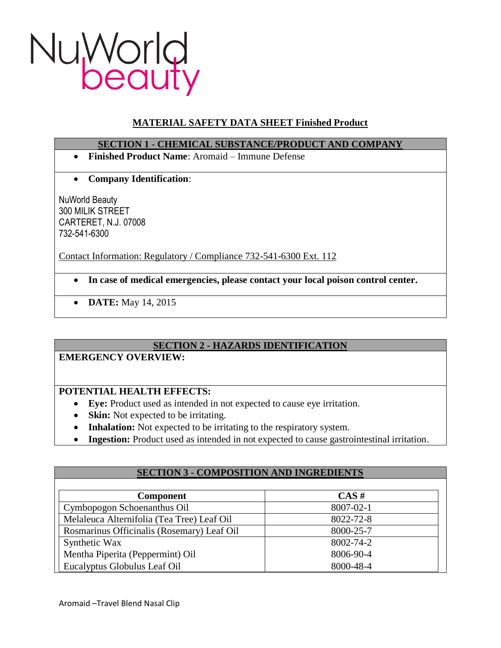

# **MATERIAL SAFETY DATA SHEET Finished Product**

### **SECTION 1 - CHEMICAL SUBSTANCE/PRODUCT AND COMPANY**

- **Finished Product Name**: Aromaid Immune Defense
- **Company Identification**:

NuWorld Beauty 300 MILIK STREET CARTERET, N.J. 07008 732-541-6300

Contact Information: Regulatory / Compliance 732-541-6300 Ext. 112

- **In case of medical emergencies, please contact your local poison control center.**
- **DATE:** May 14, 2015

# **SECTION 2 - HAZARDS IDENTIFICATION**

### **EMERGENCY OVERVIEW:**

# **POTENTIAL HEALTH EFFECTS:**

- **Eye:** Product used as intended in not expected to cause eye irritation.
- **Skin:** Not expected to be irritating.
- **Inhalation:** Not expected to be irritating to the respiratory system.
- **Ingestion:** Product used as intended in not expected to cause gastrointestinal irritation.

| <b>SECTION 3 - COMPOSITION AND INGREDIENTS</b> |           |
|------------------------------------------------|-----------|
|                                                |           |
| <b>Component</b>                               | $CAS \#$  |
| Cymbopogon Schoenanthus Oil                    | 8007-02-1 |
| Melaleuca Alternifolia (Tea Tree) Leaf Oil     | 8022-72-8 |
| Rosmarinus Officinalis (Rosemary) Leaf Oil     | 8000-25-7 |
| Synthetic Wax                                  | 8002-74-2 |
| Mentha Piperita (Peppermint) Oil               | 8006-90-4 |
| Eucalyptus Globulus Leaf Oil                   | 8000-48-4 |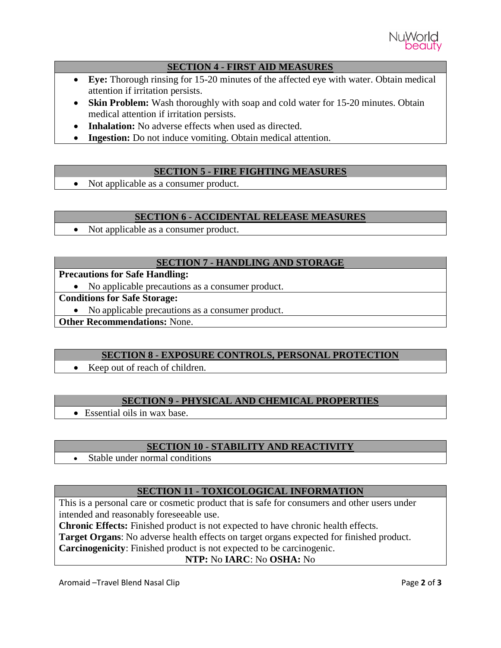

### **SECTION 4 - FIRST AID MEASURES**

- **Eye:** Thorough rinsing for 15-20 minutes of the affected eye with water. Obtain medical attention if irritation persists.
- **Skin Problem:** Wash thoroughly with soap and cold water for 15-20 minutes. Obtain medical attention if irritation persists.
- **Inhalation:** No adverse effects when used as directed.
- **Ingestion:** Do not induce vomiting. Obtain medical attention.

## **SECTION 5 - FIRE FIGHTING MEASURES**

• Not applicable as a consumer product.

### **SECTION 6 - ACCIDENTAL RELEASE MEASURES**

• Not applicable as a consumer product.

## **SECTION 7 - HANDLING AND STORAGE**

## **Precautions for Safe Handling:**

• No applicable precautions as a consumer product.

## **Conditions for Safe Storage:**

No applicable precautions as a consumer product.

**Other Recommendations:** None.

### **SECTION 8 - EXPOSURE CONTROLS, PERSONAL PROTECTION**

• Keep out of reach of children.

# **SECTION 9 - PHYSICAL AND CHEMICAL PROPERTIES**

• Essential oils in wax base.

# **SECTION 10 - STABILITY AND REACTIVITY**

• Stable under normal conditions

# **SECTION 11 - TOXICOLOGICAL INFORMATION**

This is a personal care or cosmetic product that is safe for consumers and other users under intended and reasonably foreseeable use.

**Chronic Effects:** Finished product is not expected to have chronic health effects.

**Target Organs**: No adverse health effects on target organs expected for finished product.

**Carcinogenicity**: Finished product is not expected to be carcinogenic.

# **NTP:** No **IARC**: No **OSHA:** No

Aromaid –Travel Blend Nasal Clip **Page 2** of 3